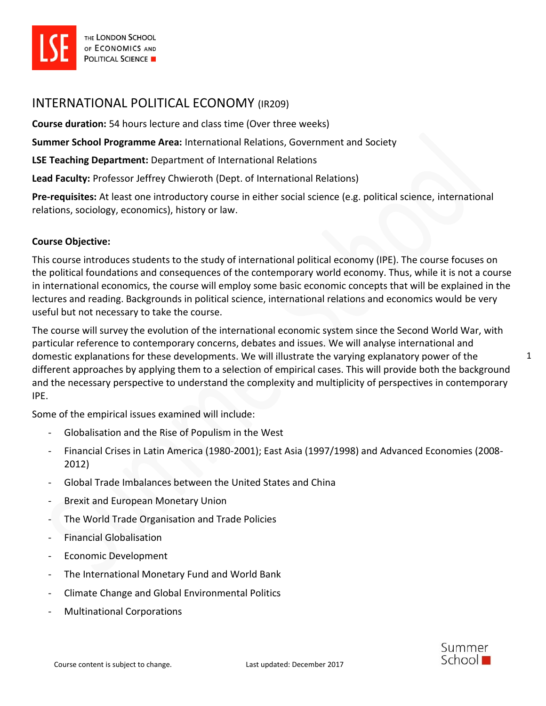

# INTERNATIONAL POLITICAL ECONOMY (IR209)

**Course duration:** 54 hours lecture and class time (Over three weeks)

**Summer School Programme Area:** International Relations, Government and Society

**LSE Teaching Department:** Department of International Relations

**Lead Faculty:** Professor Jeffrey Chwieroth (Dept. of International Relations)

**Pre-requisites:** At least one introductory course in either social science (e.g. political science, international relations, sociology, economics), history or law.

#### **Course Objective:**

This course introduces students to the study of international political economy (IPE). The course focuses on the political foundations and consequences of the contemporary world economy. Thus, while it is not a course in international economics, the course will employ some basic economic concepts that will be explained in the lectures and reading. Backgrounds in political science, international relations and economics would be very useful but not necessary to take the course.

The course will survey the evolution of the international economic system since the Second World War, with particular reference to contemporary concerns, debates and issues. We will analyse international and domestic explanations for these developments. We will illustrate the varying explanatory power of the different approaches by applying them to a selection of empirical cases. This will provide both the background and the necessary perspective to understand the complexity and multiplicity of perspectives in contemporary IPE.

Some of the empirical issues examined will include:

- Globalisation and the Rise of Populism in the West
- Financial Crises in Latin America (1980-2001); East Asia (1997/1998) and Advanced Economies (2008- 2012)
- Global Trade Imbalances between the United States and China
- Brexit and European Monetary Union
- The World Trade Organisation and Trade Policies
- Financial Globalisation
- Economic Development
- The International Monetary Fund and World Bank
- Climate Change and Global Environmental Politics
- Multinational Corporations

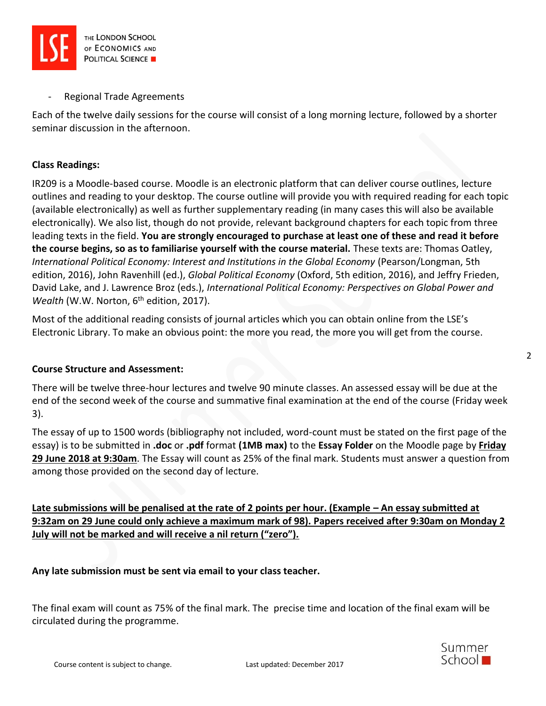

Regional Trade Agreements

Each of the twelve daily sessions for the course will consist of a long morning lecture, followed by a shorter seminar discussion in the afternoon.

# **Class Readings:**

IR209 is a Moodle-based course. Moodle is an electronic platform that can deliver course outlines, lecture outlines and reading to your desktop. The course outline will provide you with required reading for each topic (available electronically) as well as further supplementary reading (in many cases this will also be available electronically). We also list, though do not provide, relevant background chapters for each topic from three leading texts in the field. **You are strongly encouraged to purchase at least one of these and read it before the course begins, so as to familiarise yourself with the course material.** These texts are: Thomas Oatley, *International Political Economy: Interest and Institutions in the Global Economy* (Pearson/Longman, 5th edition, 2016), John Ravenhill (ed.), *Global Political Economy* (Oxford, 5th edition, 2016), and Jeffry Frieden, David Lake, and J. Lawrence Broz (eds.), *International Political Economy: Perspectives on Global Power and Wealth* (W.W. Norton, 6<sup>th</sup> edition, 2017).

Most of the additional reading consists of journal articles which you can obtain online from the LSE's Electronic Library. To make an obvious point: the more you read, the more you will get from the course.

# **Course Structure and Assessment:**

There will be twelve three-hour lectures and twelve 90 minute classes. An assessed essay will be due at the end of the second week of the course and summative final examination at the end of the course (Friday week 3).

The essay of up to 1500 words (bibliography not included, word-count must be stated on the first page of the essay) is to be submitted in **.doc** or **.pdf** format **(1MB max)** to the **Essay Folder** on the Moodle page by **Friday 29 June 2018 at 9:30am**. The Essay will count as 25% of the final mark. Students must answer a question from among those provided on the second day of lecture.

**Late submissions will be penalised at the rate of 2 points per hour. (Example – An essay submitted at 9:32am on 29 June could only achieve a maximum mark of 98). Papers received after 9:30am on Monday 2 July will not be marked and will receive a nil return ("zero").**

**Any late submission must be sent via email to your class teacher.**

The final exam will count as 75% of the final mark. The precise time and location of the final exam will be circulated during the programme.



2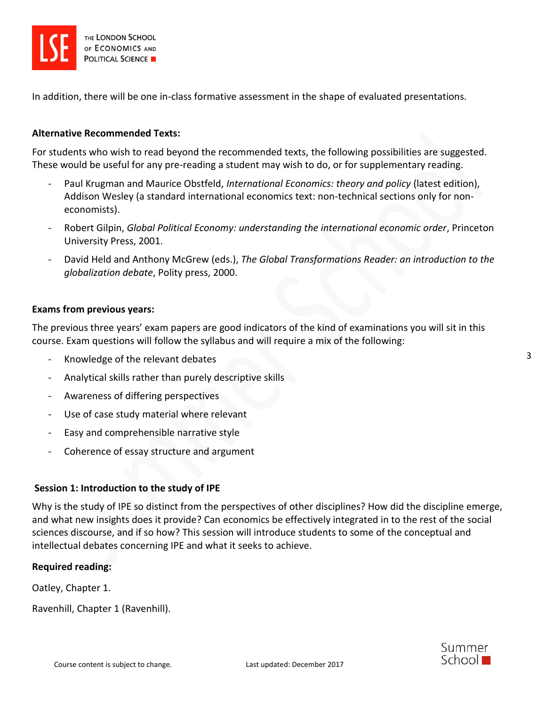

In addition, there will be one in-class formative assessment in the shape of evaluated presentations.

#### **Alternative Recommended Texts:**

For students who wish to read beyond the recommended texts, the following possibilities are suggested. These would be useful for any pre-reading a student may wish to do, or for supplementary reading.

- Paul Krugman and Maurice Obstfeld, *International Economics: theory and policy* (latest edition), Addison Wesley (a standard international economics text: non-technical sections only for noneconomists).
- Robert Gilpin, *Global Political Economy: understanding the international economic order*, Princeton University Press, 2001.
- David Held and Anthony McGrew (eds.), *The Global Transformations Reader: an introduction to the globalization debate*, Polity press, 2000.

#### **Exams from previous years:**

The previous three years' exam papers are good indicators of the kind of examinations you will sit in this course. Exam questions will follow the syllabus and will require a mix of the following:

- Knowledge of the relevant debates
- Analytical skills rather than purely descriptive skills
- Awareness of differing perspectives
- Use of case study material where relevant
- Easy and comprehensible narrative style
- Coherence of essay structure and argument

#### **Session 1: Introduction to the study of IPE**

Why is the study of IPE so distinct from the perspectives of other disciplines? How did the discipline emerge, and what new insights does it provide? Can economics be effectively integrated in to the rest of the social sciences discourse, and if so how? This session will introduce students to some of the conceptual and intellectual debates concerning IPE and what it seeks to achieve.

#### **Required reading:**

Oatley, Chapter 1.

Ravenhill, Chapter 1 (Ravenhill).

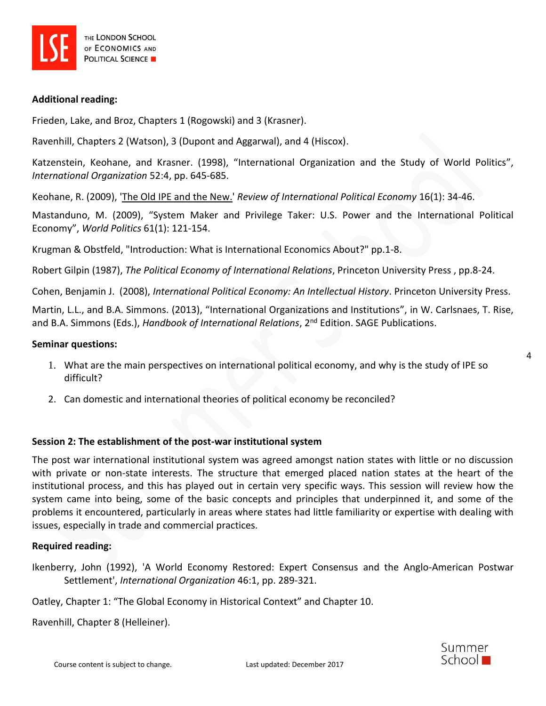

#### **Additional reading:**

Frieden, Lake, and Broz, Chapters 1 (Rogowski) and 3 (Krasner).

Ravenhill, Chapters 2 (Watson), 3 (Dupont and Aggarwal), and 4 (Hiscox).

Katzenstein, Keohane, and Krasner. (1998), "International Organization and the Study of World Politics", *International Organization* 52:4, pp. 645-685.

Keohane, R. (2009), ['The Old IPE and the New.'](https://gate2.library.lse.ac.uk/login?url=http://dx.doi.org/10.1080/09692290802524059) *Review of International Political Economy* 16(1): 34-46.

Mastanduno, M. (2009), "System Maker and Privilege Taker: U.S. Power and the International Political Economy", *World Politics* 61(1): 121-154.

Krugman & Obstfeld, "Introduction: What is International Economics About?" pp.1-8.

Robert Gilpin (1987), *The Political Economy of International Relations*, Princeton University Press , pp.8-24.

Cohen, Benjamin J. (2008), *International Political Economy: An Intellectual History*. Princeton University Press.

Martin, L.L., and B.A. Simmons. (2013), "International Organizations and Institutions", in W. Carlsnaes, T. Rise, and B.A. Simmons (Eds.), *Handbook of International Relations*, 2nd Edition. SAGE Publications.

#### **Seminar questions:**

- 1. What are the main perspectives on international political economy, and why is the study of IPE so difficult?
- 2. Can domestic and international theories of political economy be reconciled?

# **Session 2: The establishment of the post-war institutional system**

The post war international institutional system was agreed amongst nation states with little or no discussion with private or non-state interests. The structure that emerged placed nation states at the heart of the institutional process, and this has played out in certain very specific ways. This session will review how the system came into being, some of the basic concepts and principles that underpinned it, and some of the problems it encountered, particularly in areas where states had little familiarity or expertise with dealing with issues, especially in trade and commercial practices.

#### **Required reading:**

Ikenberry, John (1992), 'A World Economy Restored: Expert Consensus and the Anglo-American Postwar Settlement', *International Organization* 46:1, pp. 289-321.

Oatley, Chapter 1: "The Global Economy in Historical Context" and Chapter 10.

Ravenhill, Chapter 8 (Helleiner).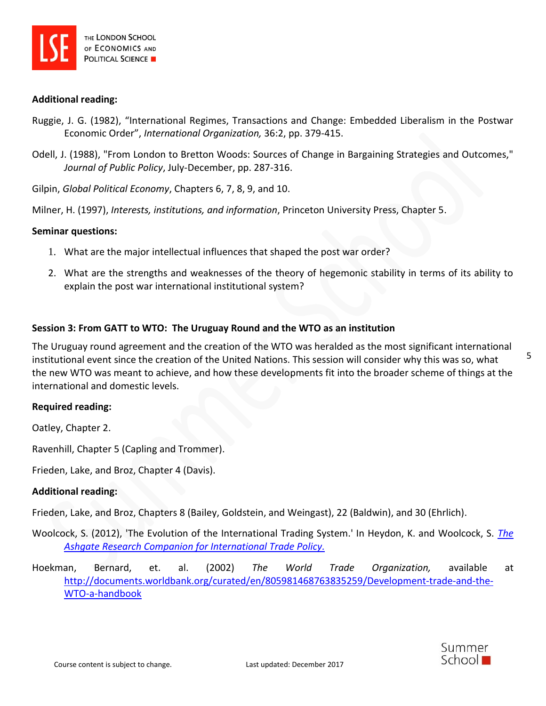

#### **Additional reading:**

- Ruggie, J. G. (1982), "International Regimes, Transactions and Change: Embedded Liberalism in the Postwar Economic Order", *International Organization,* 36:2, pp. 379-415.
- Odell, J. (1988), "From London to Bretton Woods: Sources of Change in Bargaining Strategies and Outcomes," *Journal of Public Policy*, July-December, pp. 287-316.

Gilpin, *Global Political Economy*, Chapters 6, 7, 8, 9, and 10.

Milner, H. (1997), *Interests, institutions, and information*, Princeton University Press, Chapter 5.

#### **Seminar questions:**

- 1. What are the major intellectual influences that shaped the post war order?
- 2. What are the strengths and weaknesses of the theory of hegemonic stability in terms of its ability to explain the post war international institutional system?

#### **Session 3: From GATT to WTO: The Uruguay Round and the WTO as an institution**

The Uruguay round agreement and the creation of the WTO was heralded as the most significant international institutional event since the creation of the United Nations. This session will consider why this was so, what the new WTO was meant to achieve, and how these developments fit into the broader scheme of things at the international and domestic levels.

#### **Required reading:**

Oatley, Chapter 2.

Ravenhill, Chapter 5 (Capling and Trommer).

Frieden, Lake, and Broz, Chapter 4 (Davis).

#### **Additional reading:**

Frieden, Lake, and Broz, Chapters 8 (Bailey, Goldstein, and Weingast), 22 (Baldwin), and 30 (Ehrlich).

- Woolcock, S. (2012), 'The Evolution of the International Trading System.' In Heydon, K. and Woolcock, S. *[The](https://www.dawsonera.com/guard/protected/dawson.jsp?name=https://lse.ac.uk/idp&dest=http://www.dawsonera.com/depp/reader/protected/external/AbstractView/S9781409408369)  [Ashgate Research Companion for International Trade Policy.](https://www.dawsonera.com/guard/protected/dawson.jsp?name=https://lse.ac.uk/idp&dest=http://www.dawsonera.com/depp/reader/protected/external/AbstractView/S9781409408369)*
- Hoekman, Bernard, et. al. (2002) *The World Trade Organization,* available at [http://documents.worldbank.org/curated/en/805981468763835259/Development-trade-and-the-](http://documents.worldbank.org/curated/en/805981468763835259/Development-trade-and-the-WTO-a-handbook)[WTO-a-handbook](http://documents.worldbank.org/curated/en/805981468763835259/Development-trade-and-the-WTO-a-handbook)

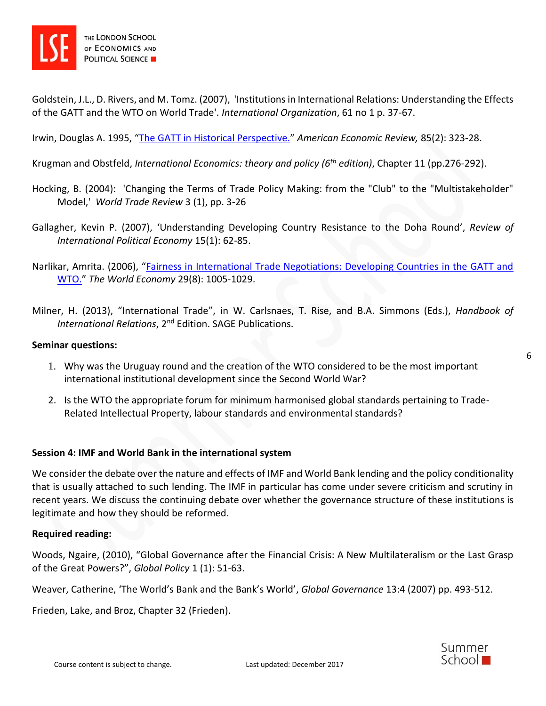

Goldstein, J.L., D. Rivers, and M. Tomz. (2007), 'Institutions in International Relations: Understanding the Effects of the GATT and the WTO on World Trade'. *International Organization*, 61 no 1 p. 37-67.

Irwin, Douglas A. 1995, "[The GATT in Historical Perspective.](https://gate2.library.lse.ac.uk/login?url=http://www.jstor.org/stable/2117941)" *American Economic Review,* 85(2): 323-28.

Krugman and Obstfeld, *International Economics: theory and policy (6th edition)*, Chapter 11 (pp.276-292).

- Hocking, B. (2004): 'Changing the Terms of Trade Policy Making: from the "Club" to the "Multistakeholder" Model,' *World Trade Review* 3 (1), pp. 3-26
- Gallagher, Kevin P. (2007), 'Understanding Developing Country Resistance to the Doha Round', *Review of International Political Economy* 15(1): 62-85.
- Narlikar, Amrita. (2006), "[Fairness in International Trade Negotiations: Developing Countries in the GATT and](https://gate2.library.lse.ac.uk/login?url=http://dx.doi.org/10.1111/j.1467-9701.2006.00833.x)  [WTO.](https://gate2.library.lse.ac.uk/login?url=http://dx.doi.org/10.1111/j.1467-9701.2006.00833.x)" *The World Economy* 29(8): 1005-1029.
- Milner, H. (2013), "International Trade", in W. Carlsnaes, T. Rise, and B.A. Simmons (Eds.), *Handbook of*  International Relations, 2<sup>nd</sup> Edition. SAGE Publications.

#### **Seminar questions:**

- 1. Why was the Uruguay round and the creation of the WTO considered to be the most important international institutional development since the Second World War?
- 2. Is the WTO the appropriate forum for minimum harmonised global standards pertaining to Trade-Related Intellectual Property, labour standards and environmental standards?

# **Session 4: IMF and World Bank in the international system**

We consider the debate over the nature and effects of IMF and World Bank lending and the policy conditionality that is usually attached to such lending. The IMF in particular has come under severe criticism and scrutiny in recent years. We discuss the continuing debate over whether the governance structure of these institutions is legitimate and how they should be reformed.

#### **Required reading:**

Woods, Ngaire, (2010), "Global Governance after the Financial Crisis: A New Multilateralism or the Last Grasp of the Great Powers?", *Global Policy* 1 (1): 51-63.

Weaver, Catherine, 'The World's Bank and the Bank's World', *Global Governance* 13:4 (2007) pp. 493-512.

Frieden, Lake, and Broz, Chapter 32 (Frieden).

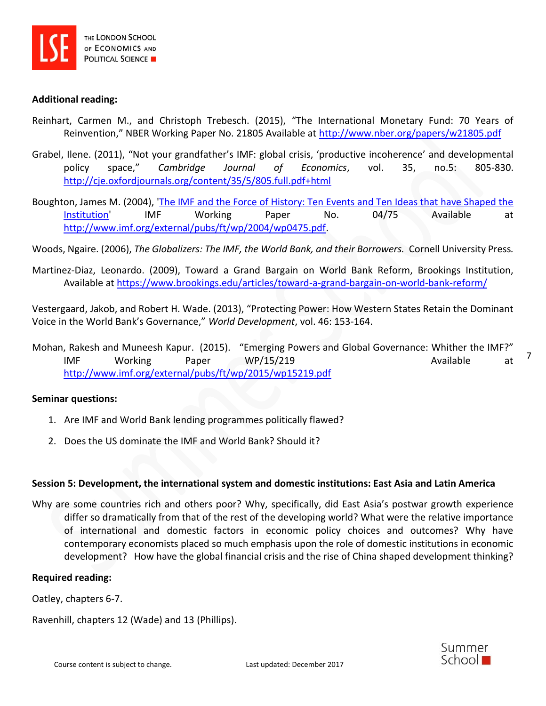

### **Additional reading:**

- Reinhart, Carmen M., and Christoph Trebesch. (2015), "The International Monetary Fund: 70 Years of Reinvention," NBER Working Paper No. 21805 Available at <http://www.nber.org/papers/w21805.pdf>
- Grabel, Ilene. (2011), "Not your grandfather's IMF: global crisis, 'productive incoherence' and developmental policy space," *Cambridge Journal of Economics*, vol. 35, no.5: 805-830. <http://cje.oxfordjournals.org/content/35/5/805.full.pdf+html>
- Boughton, James M. (2004), ['The IMF and the Force of History: Ten Events and Ten Ideas that have Shaped the](http://www.imf.org/external/pubs/ft/wp/2004/wp0475.pdf)  [Institution'](http://www.imf.org/external/pubs/ft/wp/2004/wp0475.pdf) IMF Working Paper No. 04/75 Available at [http://www.imf.org/external/pubs/ft/wp/2004/wp0475.pdf.](http://www.imf.org/external/pubs/ft/wp/2004/wp0475.pdf)

Woods, Ngaire. (2006), *The Globalizers: The IMF, the World Bank, and their Borrowers.* Cornell University Press*.* 

Martinez-Diaz, Leonardo. (2009), Toward a Grand Bargain on World Bank Reform, Brookings Institution, Available at<https://www.brookings.edu/articles/toward-a-grand-bargain-on-world-bank-reform/>

Vestergaard, Jakob, and Robert H. Wade. (2013), "Protecting Power: How Western States Retain the Dominant Voice in the World Bank's Governance," *World Development*, vol. 46: 153-164.

Mohan, Rakesh and Muneesh Kapur. (2015). "Emerging Powers and Global Governance: Whither the IMF?" IMF Working Paper WP/15/219 **Available** at <http://www.imf.org/external/pubs/ft/wp/2015/wp15219.pdf>

#### **Seminar questions:**

- 1. Are IMF and World Bank lending programmes politically flawed?
- 2. Does the US dominate the IMF and World Bank? Should it?

#### **Session 5: Development, the international system and domestic institutions: East Asia and Latin America**

Why are some countries rich and others poor? Why, specifically, did East Asia's postwar growth experience differ so dramatically from that of the rest of the developing world? What were the relative importance of international and domestic factors in economic policy choices and outcomes? Why have contemporary economists placed so much emphasis upon the role of domestic institutions in economic development? How have the global financial crisis and the rise of China shaped development thinking?

#### **Required reading:**

Oatley, chapters 6-7.

Ravenhill, chapters 12 (Wade) and 13 (Phillips).



7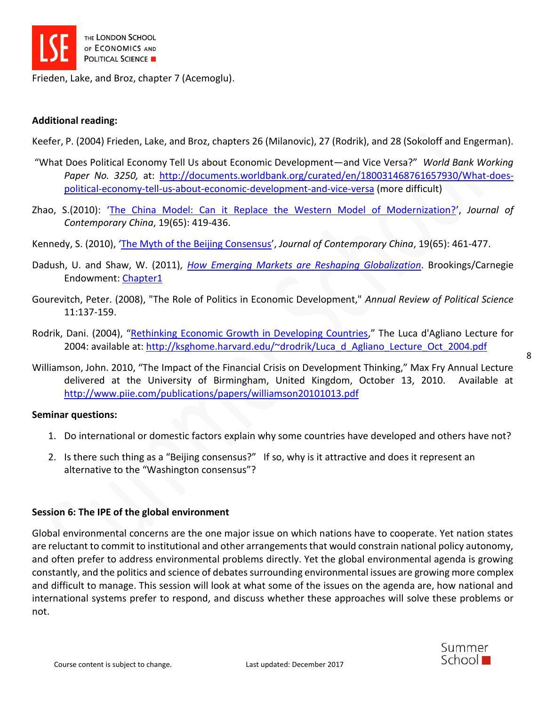

Frieden, Lake, and Broz, chapter 7 (Acemoglu).

# **Additional reading:**

Keefer, P. (2004) Frieden, Lake, and Broz, chapters 26 (Milanovic), 27 (Rodrik), and 28 (Sokoloff and Engerman).

- "What Does Political Economy Tell Us about Economic Development—and Vice Versa?" *World Bank Working Paper No. 3250,* at: [http://documents.worldbank.org/curated/en/180031468761657930/What-does](http://documents.worldbank.org/curated/en/180031468761657930/What-does-political-economy-tell-us-about-economic-development-and-vice-versa)[political-economy-tell-us-about-economic-development-and-vice-versa](http://documents.worldbank.org/curated/en/180031468761657930/What-does-political-economy-tell-us-about-economic-development-and-vice-versa) (more difficult)
- Zhao, S.(2010): '[The China Model: Can it Replace the Western Model of Modernization?](https://gate2.library.lse.ac.uk/login?url=http://dx.doi.org/10.1080/10670561003666061)', *Journal of Contemporary China*, 19(65): 419-436.
- Kennedy, S. (2010), '[The Myth of the Beijing Consensus](https://gate2.library.lse.ac.uk/login?url=http://dx.doi.org/10.1080/10670561003666087)', *Journal of Contemporary China*, 19(65): 461-477.
- Dadush, U. and Shaw, W. (2011), *[How Emerging Markets are Reshaping Globalization](http://carnegieendowment.org/files/juggernaut_final.pdf)*. Brookings/Carnegie Endowment: [Chapter1](https://library-2.lse.ac.uk/e-lib/e_course_packs/IR450/IR450_34939.pdf)
- Gourevitch, Peter. (2008), "The Role of Politics in Economic Development," *Annual Review of Political Science* 11:137-159.
- Rodrik, Dani. (2004), "[Rethinking Economic Growth in Developing Countries](https://drodrik.scholar.harvard.edu/publications/rethinking-economic-growth-developing-countries)," The Luca d'Agliano Lecture for 2004: available at: [http://ksghome.harvard.edu/~drodrik/Luca\\_d\\_Agliano\\_Lecture\\_Oct\\_2004.pdf](http://ksghome.harvard.edu/~drodrik/Luca_d_Agliano_Lecture_Oct_2004.pdf)

Williamson, John. 2010, "The Impact of the Financial Crisis on Development Thinking," Max Fry Annual Lecture delivered at the University of Birmingham, United Kingdom, October 13, 2010. Available at <http://www.piie.com/publications/papers/williamson20101013.pdf>

#### **Seminar questions:**

- 1. Do international or domestic factors explain why some countries have developed and others have not?
- 2. Is there such thing as a "Beijing consensus?" If so, why is it attractive and does it represent an alternative to the "Washington consensus"?

# **Session 6: The IPE of the global environment**

Global environmental concerns are the one major issue on which nations have to cooperate. Yet nation states are reluctant to commit to institutional and other arrangements that would constrain national policy autonomy, and often prefer to address environmental problems directly. Yet the global environmental agenda is growing constantly, and the politics and science of debates surrounding environmental issues are growing more complex and difficult to manage. This session will look at what some of the issues on the agenda are, how national and international systems prefer to respond, and discuss whether these approaches will solve these problems or not.

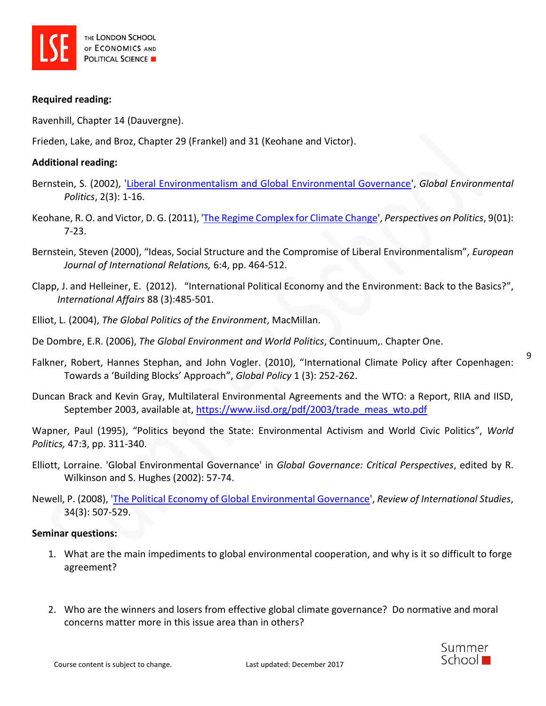

#### **Required reading:**

Ravenhill, Chapter 14 (Dauvergne).

Frieden, Lake, and Broz, Chapter 29 (Frankel) and 31 (Keohane and Victor).

#### **Additional reading:**

- Bernstein, S. (2002), ['Liberal Environmentalism and Global Environmental Governance'](https://gate2.library.lse.ac.uk/login?url=http://dx.doi.org/10.1162/152638002320310509), *Global Environmental Politics*, 2(3): 1-16.
- Keohane, R. O. and Victor, D. G. (2011), ['The Regime Complex for Climate Change'](https://gate2.library.lse.ac.uk/login?url=http://dx.doi.org/10.1017/S1537592710004068), *Perspectives on Politics*, 9(01): 7-23.
- Bernstein, Steven (2000), "Ideas, Social Structure and the Compromise of Liberal Environmentalism", *European Journal of International Relations,* 6:4, pp. 464-512.
- Clapp, J. and Helleiner, E. (2012). "International Political Economy and the Environment: Back to the Basics?", *International Affairs* 88 (3):485-501.
- Elliot, L. (2004), *The Global Politics of the Environment*, MacMillan.
- De Dombre, E.R. (2006), *The Global Environment and World Politics*, Continuum,. Chapter One.
- Falkner, Robert, Hannes Stephan, and John Vogler. (2010), "International Climate Policy after Copenhagen: Towards a 'Building Blocks' Approach", *Global Policy* 1 (3): 252-262.
- Duncan Brack and Kevin Gray, Multilateral Environmental Agreements and the WTO: a Report, RIIA and IISD, September 2003, available at, [https://www.iisd.org/pdf/2003/trade\\_meas\\_wto.pdf](https://www.iisd.org/pdf/2003/trade_meas_wto.pdf)

Wapner, Paul (1995), "Politics beyond the State: Environmental Activism and World Civic Politics", *World Politics,* 47:3, pp. 311-340.

- Elliott, Lorraine. 'Global Environmental Governance' in *Global Governance: Critical Perspectives*, edited by R. Wilkinson and S. Hughes (2002): 57-74.
- Newell, P. (2008), ['The Political Economy of Global Environmental Governance'](http://journals.cambridge.org.gate2.library.lse.ac.uk/action/displayAbstract?fromPage=online&aid=1891096&fulltextType=RA&fileId=S0260210508008140), *Review of International Studies*, 34(3): 507-529.

#### **Seminar questions:**

- 1. What are the main impediments to global environmental cooperation, and why is it so difficult to forge agreement?
- 2. Who are the winners and losers from effective global climate governance? Do normative and moral concerns matter more in this issue area than in others?

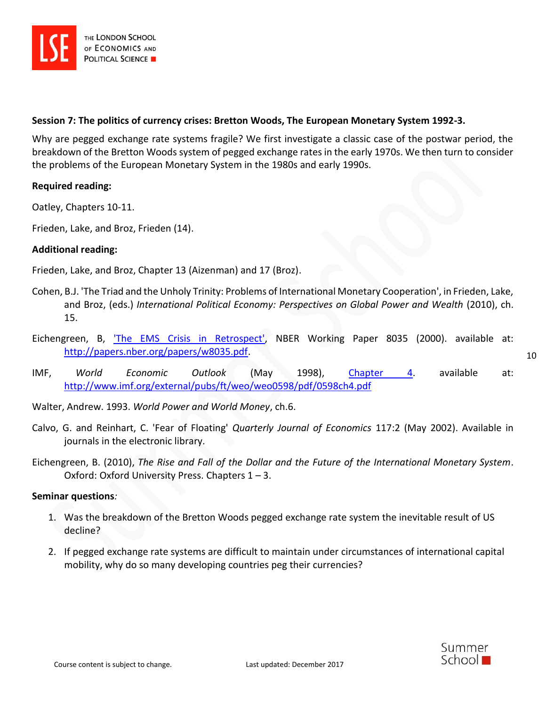

# **Session 7: The politics of currency crises: Bretton Woods, The European Monetary System 1992-3.**

Why are pegged exchange rate systems fragile? We first investigate a classic case of the postwar period, the breakdown of the Bretton Woods system of pegged exchange rates in the early 1970s. We then turn to consider the problems of the European Monetary System in the 1980s and early 1990s.

# **Required reading:**

Oatley, Chapters 10-11.

Frieden, Lake, and Broz, Frieden (14).

#### **Additional reading:**

Frieden, Lake, and Broz, Chapter 13 (Aizenman) and 17 (Broz).

- Cohen, B.J. 'The Triad and the Unholy Trinity: Problems of International Monetary Cooperation', in Frieden, Lake, and Broz, (eds.) *International Political Economy: Perspectives on Global Power and Wealth* (2010), ch. 15.
- Eichengreen, B, ['The EMS Crisis in Retrospect',](http://webct.lse.ac.uk/SCRIPT/2005_IR451/scripts/student/serve_page.pl/2005_IR451/) NBER Working Paper 8035 (2000). available at: [http://papers.nber.org/papers/w8035.pdf.](http://papers.nber.org/papers/w8035.pdf)
- IMF, *World Economic Outlook* (May 1998), [Chapter 4.](http://webct.lse.ac.uk/SCRIPT/2005_IR451/scripts/student/serve_page.pl/2005_IR451/) available at: <http://www.imf.org/external/pubs/ft/weo/weo0598/pdf/0598ch4.pdf>

Walter, Andrew. 1993. *World Power and World Money*, ch.6.

- Calvo, G. and Reinhart, C. 'Fear of Floating' *Quarterly Journal of Economics* 117:2 (May 2002). Available in journals in the electronic library.
- Eichengreen, B. (2010), *The Rise and Fall of the Dollar and the Future of the International Monetary System*. Oxford: Oxford University Press. Chapters 1 – 3.

#### **Seminar questions***:*

- 1. Was the breakdown of the Bretton Woods pegged exchange rate system the inevitable result of US decline?
- 2. If pegged exchange rate systems are difficult to maintain under circumstances of international capital mobility, why do so many developing countries peg their currencies?

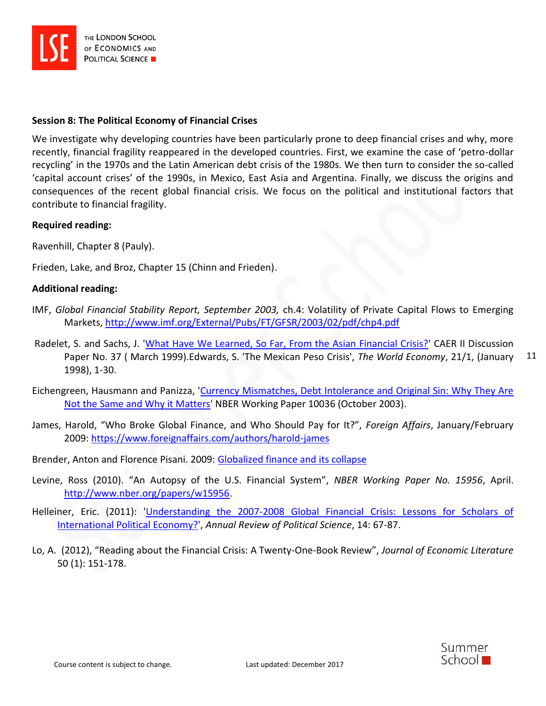

### **Session 8: The Political Economy of Financial Crises**

We investigate why developing countries have been particularly prone to deep financial crises and why, more recently, financial fragility reappeared in the developed countries. First, we examine the case of 'petro-dollar recycling' in the 1970s and the Latin American debt crisis of the 1980s. We then turn to consider the so-called 'capital account crises' of the 1990s, in Mexico, East Asia and Argentina. Finally, we discuss the origins and consequences of the recent global financial crisis. We focus on the political and institutional factors that contribute to financial fragility.

#### **Required reading:**

Ravenhill, Chapter 8 (Pauly).

Frieden, Lake, and Broz, Chapter 15 (Chinn and Frieden).

#### **Additional reading:**

- IMF, *Global Financial Stability Report, September 2003,* ch.4: Volatility of Private Capital Flows to Emerging Markets,<http://www.imf.org/External/Pubs/FT/GFSR/2003/02/pdf/chp4.pdf>
- 11 Radelet, S. and Sachs, J. ['What Have We Learned, So Far, From the Asian Financial Crisis?'](javascript:doWindowOpenFixStr() CAER II Discussion Paper No. 37 ( March 1999).Edwards, S. 'The Mexican Peso Crisis', *The World Economy*, 21/1, (January 1998), 1-30.
- Eichengreen, Hausmann and Panizza, ['Currency Mismatches, Debt Intolerance and Original Sin: Why They Are](javascript:doWindowOpenFixStr()  [Not the Same and Why it Matters'](javascript:doWindowOpenFixStr() NBER Working Paper 10036 (October 2003).
- James, Harold, "Who Broke Global Finance, and Who Should Pay for It?", *Foreign Affairs*, January/February 2009:<https://www.foreignaffairs.com/authors/harold-james>

Brender, Anton and Florence Pisani. 2009: [Globalized finance and its collapse](http://www.dexia-am.com/globalisedfinance/)

- Levine, Ross (2010). "An Autopsy of the U.S. Financial System", *NBER Working Paper No. 15956*, April. [http://www.nber.org/papers/w15956.](http://www.nber.org/papers/w15956)
- Helleiner, Eric. (2011): ['Understanding the 2007-2008 Global Financial Crisis: Lessons for Scholars of](https://gate2.library.lse.ac.uk/login?url=http://dx.doi.org/10.1146/annurev-polisci-050409-112539)  [International Political Economy?'](https://gate2.library.lse.ac.uk/login?url=http://dx.doi.org/10.1146/annurev-polisci-050409-112539), *Annual Review of Political Science*, 14: 67-87.
- Lo, A. (2012), "Reading about the Financial Crisis: A Twenty-One-Book Review", *Journal of Economic Literature* 50 (1): 151-178.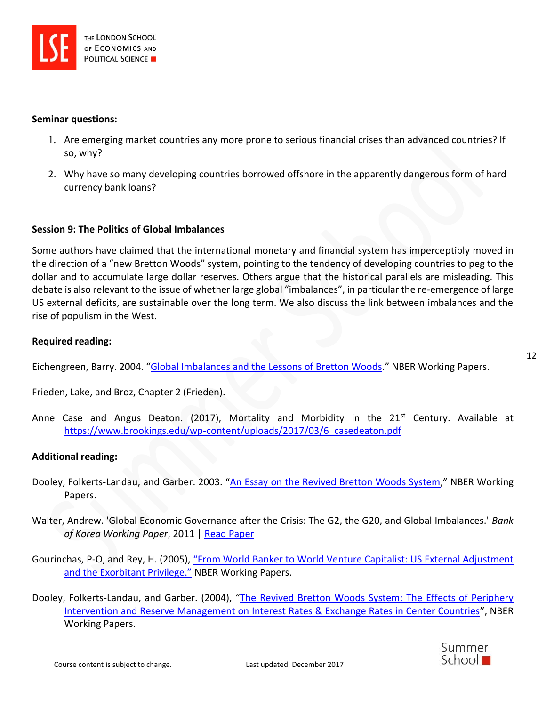#### **Seminar questions:**

- 1. Are emerging market countries any more prone to serious financial crises than advanced countries? If so, why?
- 2. Why have so many developing countries borrowed offshore in the apparently dangerous form of hard currency bank loans?

# **Session 9: The Politics of Global Imbalances**

Some authors have claimed that the international monetary and financial system has imperceptibly moved in the direction of a "new Bretton Woods" system, pointing to the tendency of developing countries to peg to the dollar and to accumulate large dollar reserves. Others argue that the historical parallels are misleading. This debate is also relevant to the issue of whether large global "imbalances", in particular the re-emergence of large US external deficits, are sustainable over the long term. We also discuss the link between imbalances and the rise of populism in the West.

#### **Required reading:**

Eichengreen, Barry. 2004. "[Global Imbalances and the Lessons of Bretton Woods](http://www.nber.org/papers/w10497)." NBER Working Papers.

Frieden, Lake, and Broz, Chapter 2 (Frieden).

Anne Case and Angus Deaton. (2017), Mortality and Morbidity in the  $21<sup>st</sup>$  Century. Available at [https://www.brookings.edu/wp-content/uploads/2017/03/6\\_casedeaton.pdf](https://www.brookings.edu/wp-content/uploads/2017/03/6_casedeaton.pdf)

# **Additional reading:**

- Dooley, Folkerts-Landau, and Garber. 2003. "[An Essay on the Revived Bretton Woods System](http://www.nber.org/papers/w9971)," NBER Working Papers.
- Walter, Andrew. 'Global Economic Governance after the Crisis: The G2, the G20, and Global Imbalances.' *Bank of Korea Working Paper*, 2011 | [Read Paper](http://personal.lse.ac.uk/wyattwal/images/Globaleconomicgovernanceafterthecrisis.pdf)
- Gourinchas, P-O, and Rey, H. (2005), "From World Banker to World Venture Capitalist: US External Adjustment [and the Exorbitant Privilege."](http://www.nber.org/papers/w11563) NBER Working Papers.
- Dooley, Folkerts-Landau, and Garber. (2004), "The Revived Bretton Woods System: The Effects of Periphery [Intervention and Reserve Management on Interest Rates & Exchange Rates in Center Countries](http://www.nber.org/papers/w10332)", NBER Working Papers.

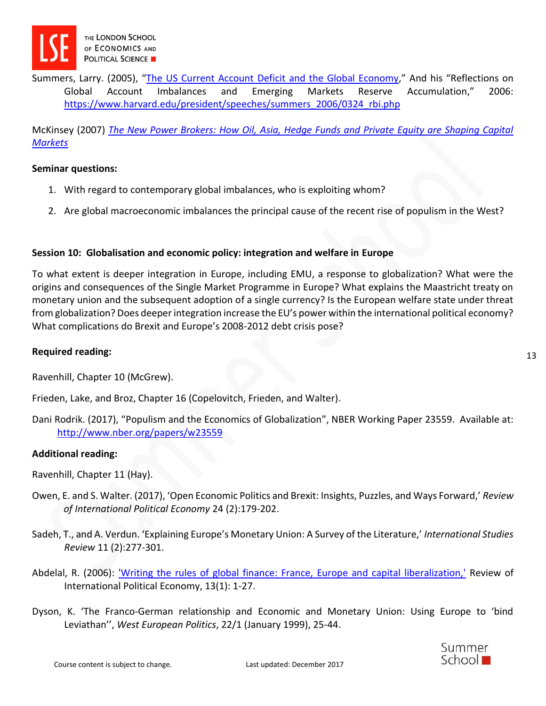

Summers, Larry. (2005), "The US Current Account [Deficit and the Global Economy](https://www.imf.org/en/Publications/Other-Periodicals/Issues/2016/12/31/The-U-S-17872)," And his "Reflections on Global Account Imbalances and Emerging Markets Reserve Accumulation," 2006: [https://www.harvard.edu/president/speeches/summers\\_2006/0324\\_rbi.php](https://www.harvard.edu/president/speeches/summers_2006/0324_rbi.php)

McKinsey (2007) *[The New Power Brokers: How Oil, Asia, Hedge Funds and Private Equity are Shaping Capital](http://moodle.lse.ac.uk/file.php/89/MGI_New_Power_Brokers_full_report.pdf)  [Markets](http://moodle.lse.ac.uk/file.php/89/MGI_New_Power_Brokers_full_report.pdf)*

#### **Seminar questions:**

- 1. With regard to contemporary global imbalances, who is exploiting whom?
- 2. Are global macroeconomic imbalances the principal cause of the recent rise of populism in the West?

# **Session 10: Globalisation and economic policy: integration and welfare in Europe**

To what extent is deeper integration in Europe, including EMU, a response to globalization? What were the origins and consequences of the Single Market Programme in Europe? What explains the Maastricht treaty on monetary union and the subsequent adoption of a single currency? Is the European welfare state under threat from globalization? Does deeper integration increase the EU's power within the international political economy? What complications do Brexit and Europe's 2008-2012 debt crisis pose?

### **Required reading:**

Ravenhill, Chapter 10 (McGrew).

Frieden, Lake, and Broz, Chapter 16 (Copelovitch, Frieden, and Walter).

Dani Rodrik. (2017), "Populism and the Economics of Globalization", NBER Working Paper 23559. Available at: <http://www.nber.org/papers/w23559>

# **Additional reading:**

- Ravenhill, Chapter 11 (Hay).
- Owen, E. and S. Walter. (2017), 'Open Economic Politics and Brexit: Insights, Puzzles, and Ways Forward,' *Review of International Political Economy* 24 (2):179-202.
- Sadeh, T., and A. Verdun. 'Explaining Europe's Monetary Union: A Survey of the Literature,' *International Studies Review* 11 (2):277-301.
- Abdelal, R. (2006): ['Writing the rules of global finance: France, Europe and capital liberalization,'](https://gate2.library.lse.ac.uk/login?url=http://dx.doi.org/10.1080/09692290500396602) Review of International Political Economy, 13(1): 1-27.
- Dyson, K. 'The Franco-German relationship and Economic and Monetary Union: Using Europe to 'bind Leviathan'', *West European Politics*, 22/1 (January 1999), 25-44.

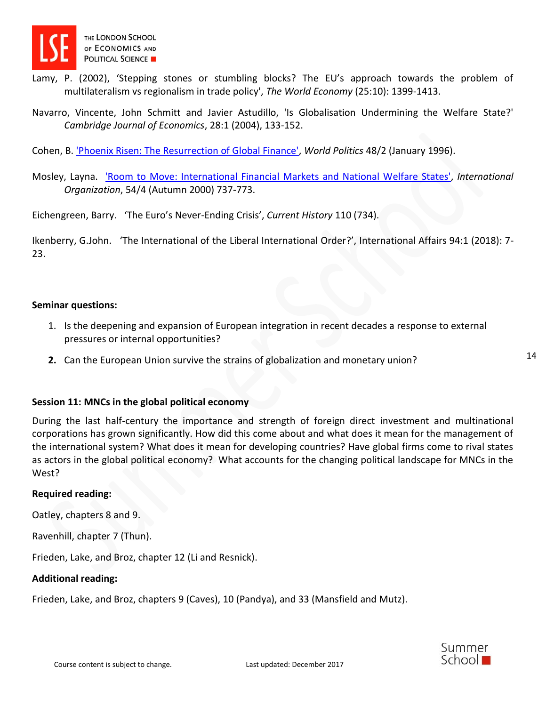

- Lamy, P. (2002), 'Stepping stones or stumbling blocks? The EU's approach towards the problem of multilateralism vs regionalism in trade policy', *The World Economy* (25:10): 1399-1413.
- Navarro, Vincente, John Schmitt and Javier Astudillo, 'Is Globalisation Undermining the Welfare State?' *Cambridge Journal of Economics*, 28:1 (2004), 133-152.

Cohen, B. ['Phoenix Risen: The Resurrection of Global Finance',](https://www.cambridge.org/core/journals/world-politics/article/phoenix-risen-the-resurrection-of-global-finance/54910C63F503A45E240AFBDE28451733) *World Politics* 48/2 (January 1996).

Mosley, Layna. ['Room to Move: International Financial Markets and National Welfare States',](https://www.cambridge.org/core/journals/international-organization/article/room-to-move-international-financial-markets-and-national-welfare-states/9ECAC7CAAAACFCEB277EECE8A6A8927F) *International Organization*, 54/4 (Autumn 2000) 737-773.

Eichengreen, Barry. 'The Euro's Never-Ending Crisis', *Current History* 110 (734).

Ikenberry, G.John. 'The International of the Liberal International Order?', International Affairs 94:1 (2018): 7- 23.

#### **Seminar questions:**

- 1. Is the deepening and expansion of European integration in recent decades a response to external pressures or internal opportunities?
- **2.** Can the European Union survive the strains of globalization and monetary union?

# **Session 11: MNCs in the global political economy**

During the last half-century the importance and strength of foreign direct investment and multinational corporations has grown significantly. How did this come about and what does it mean for the management of the international system? What does it mean for developing countries? Have global firms come to rival states as actors in the global political economy? What accounts for the changing political landscape for MNCs in the West?

#### **Required reading:**

Oatley, chapters 8 and 9.

Ravenhill, chapter 7 (Thun).

Frieden, Lake, and Broz, chapter 12 (Li and Resnick).

#### **Additional reading:**

Frieden, Lake, and Broz, chapters 9 (Caves), 10 (Pandya), and 33 (Mansfield and Mutz).

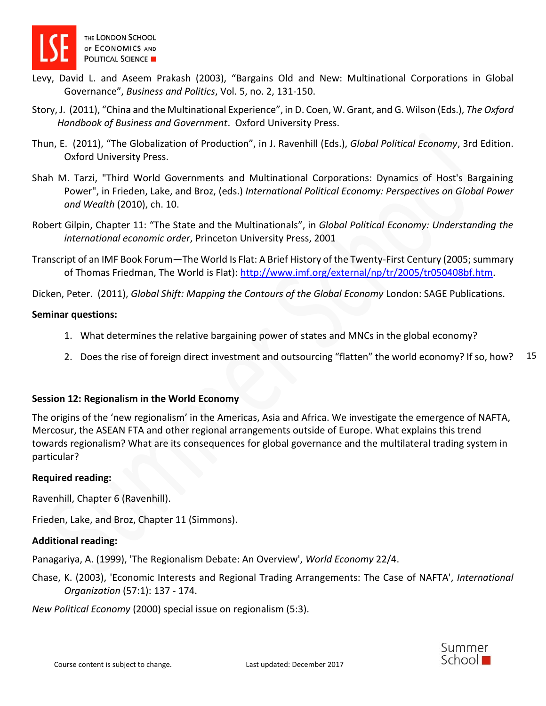

- Levy, David L. and Aseem Prakash (2003), "Bargains Old and New: Multinational Corporations in Global Governance", *Business and Politics*, Vol. 5, no. 2, 131-150.
- Story, J. (2011), "China and the Multinational Experience", in D. Coen, W. Grant, and G. Wilson (Eds.), *The Oxford Handbook of Business and Government*. Oxford University Press.
- Thun, E. (2011), "The Globalization of Production", in J. Ravenhill (Eds.), *Global Political Economy*, 3rd Edition. Oxford University Press.
- Shah M. Tarzi, "Third World Governments and Multinational Corporations: Dynamics of Host's Bargaining Power", in Frieden, Lake, and Broz, (eds.) *International Political Economy: Perspectives on Global Power and Wealth* (2010), ch. 10.
- Robert Gilpin, Chapter 11: "The State and the Multinationals", in *Global Political Economy: Understanding the international economic order*, Princeton University Press, 2001
- Transcript of an IMF Book Forum—The World Is Flat: A Brief History of the Twenty-First Century (2005; summary of Thomas Friedman, The World is Flat): [http://www.imf.org/external/np/tr/2005/tr050408bf.htm.](http://www.imf.org/external/np/tr/2005/tr050408bf.htm)

Dicken, Peter. (2011), *Global Shift: Mapping the Contours of the Global Economy* London: SAGE Publications.

# **Seminar questions:**

- 1. What determines the relative bargaining power of states and MNCs in the global economy?
- 15 2. Does the rise of foreign direct investment and outsourcing "flatten" the world economy? If so, how?

# **Session 12: Regionalism in the World Economy**

The origins of the 'new regionalism' in the Americas, Asia and Africa. We investigate the emergence of NAFTA, Mercosur, the ASEAN FTA and other regional arrangements outside of Europe. What explains this trend towards regionalism? What are its consequences for global governance and the multilateral trading system in particular?

# **Required reading:**

Ravenhill, Chapter 6 (Ravenhill).

Frieden, Lake, and Broz, Chapter 11 (Simmons).

# **Additional reading:**

Panagariya, A. (1999), 'The Regionalism Debate: An Overview', *World Economy* 22/4.

Chase, K. (2003), 'Economic Interests and Regional Trading Arrangements: The Case of NAFTA', *International Organization* (57:1): 137 - 174.

*New Political Economy* (2000) special issue on regionalism (5:3).